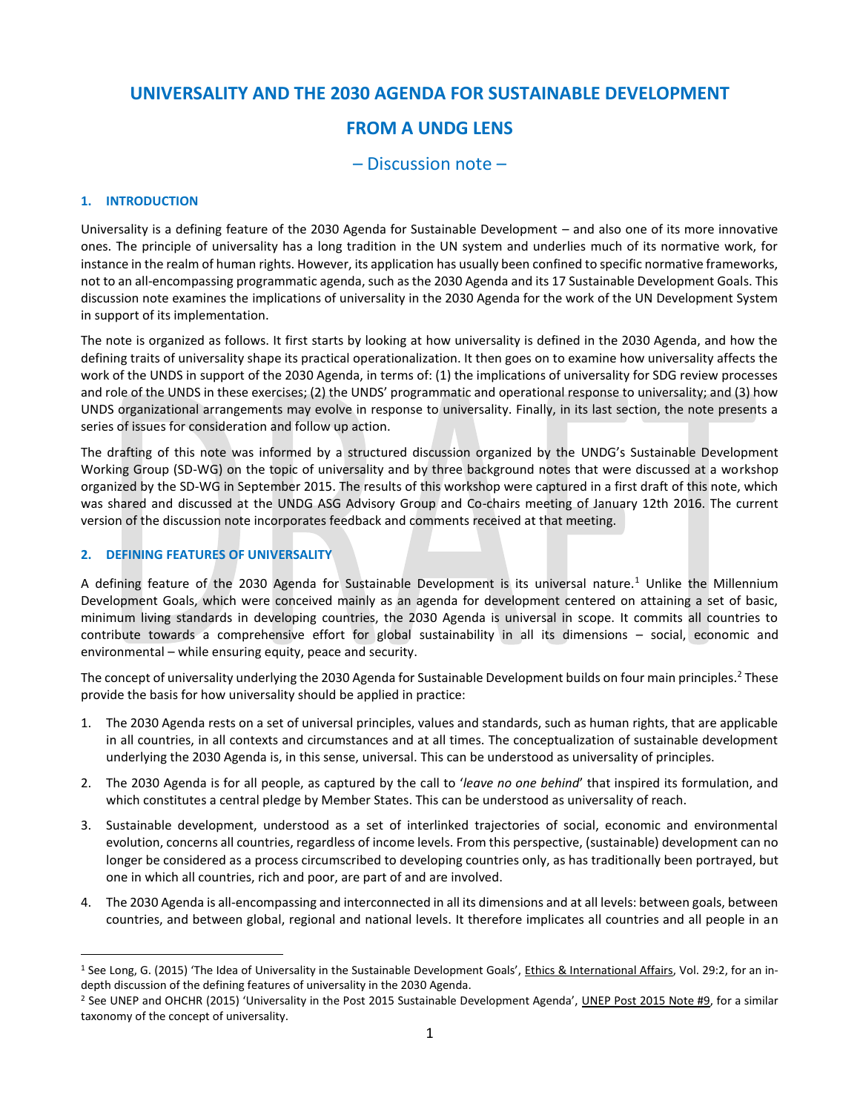## **UNIVERSALITY AND THE 2030 AGENDA FOR SUSTAINABLE DEVELOPMENT**

# **FROM A UNDG LENS**

## – Discussion note –

#### **1. INTRODUCTION**

Universality is a defining feature of the 2030 Agenda for Sustainable Development – and also one of its more innovative ones. The principle of universality has a long tradition in the UN system and underlies much of its normative work, for instance in the realm of human rights. However, its application has usually been confined to specific normative frameworks, not to an all-encompassing programmatic agenda, such as the 2030 Agenda and its 17 Sustainable Development Goals. This discussion note examines the implications of universality in the 2030 Agenda for the work of the UN Development System in support of its implementation.

The note is organized as follows. It first starts by looking at how universality is defined in the 2030 Agenda, and how the defining traits of universality shape its practical operationalization. It then goes on to examine how universality affects the work of the UNDS in support of the 2030 Agenda, in terms of: (1) the implications of universality for SDG review processes and role of the UNDS in these exercises; (2) the UNDS' programmatic and operational response to universality; and (3) how UNDS organizational arrangements may evolve in response to universality. Finally, in its last section, the note presents a series of issues for consideration and follow up action.

The drafting of this note was informed by a structured discussion organized by the UNDG's Sustainable Development Working Group (SD-WG) on the topic of universality and by three background notes that were discussed at a workshop organized by the SD-WG in September 2015. The results of this workshop were captured in a first draft of this note, which was shared and discussed at the UNDG ASG Advisory Group and Co-chairs meeting of January 12th 2016. The current version of the discussion note incorporates feedback and comments received at that meeting.

#### **2. DEFINING FEATURES OF UNIVERSALITY**

 $\overline{a}$ 

A defining feature of the 2030 Agenda for Sustainable Development is its universal nature.<sup>1</sup> Unlike the Millennium Development Goals, which were conceived mainly as an agenda for development centered on attaining a set of basic, minimum living standards in developing countries, the 2030 Agenda is universal in scope. It commits all countries to contribute towards a comprehensive effort for global sustainability in all its dimensions – social, economic and environmental – while ensuring equity, peace and security.

The concept of universality underlying the 2030 Agenda for Sustainable Development builds on four main principles.<sup>2</sup> These provide the basis for how universality should be applied in practice:

- 1. The 2030 Agenda rests on a set of universal principles, values and standards, such as human rights, that are applicable in all countries, in all contexts and circumstances and at all times. The conceptualization of sustainable development underlying the 2030 Agenda is, in this sense, universal. This can be understood as universality of principles.
- 2. The 2030 Agenda is for all people, as captured by the call to '*leave no one behind*' that inspired its formulation, and which constitutes a central pledge by Member States. This can be understood as universality of reach.
- 3. Sustainable development, understood as a set of interlinked trajectories of social, economic and environmental evolution, concerns all countries, regardless of income levels. From this perspective, (sustainable) development can no longer be considered as a process circumscribed to developing countries only, as has traditionally been portrayed, but one in which all countries, rich and poor, are part of and are involved.
- 4. The 2030 Agenda is all-encompassing and interconnected in all its dimensions and at all levels: between goals, between countries, and between global, regional and national levels. It therefore implicates all countries and all people in an

<sup>&</sup>lt;sup>1</sup> See Long, G. (2015) 'The Idea of Universality in the Sustainable Development Goals', *Ethics & International Affairs*, Vol. 29:2, for an indepth discussion of the defining features of universality in the 2030 Agenda.

<sup>2</sup> See UNEP and OHCHR (2015) 'Universality in the Post 2015 Sustainable Development Agenda', UNEP Post 2015 Note #9, for a similar taxonomy of the concept of universality.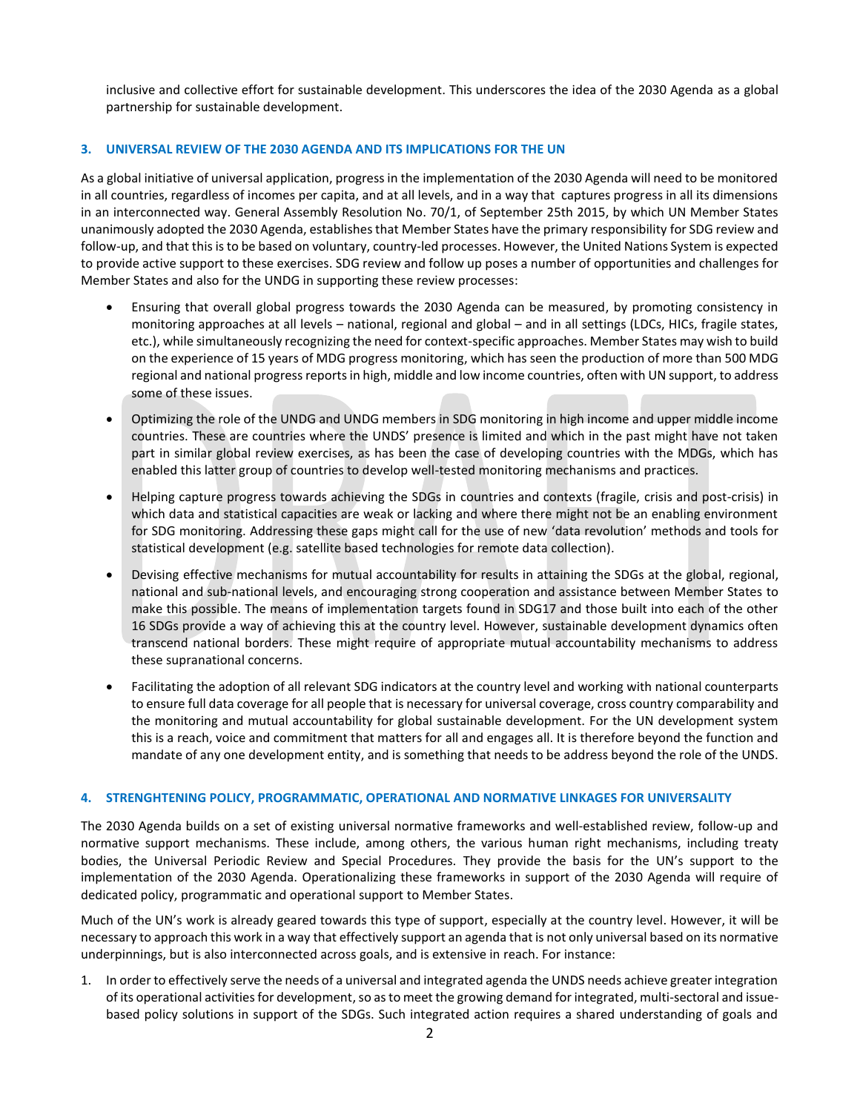inclusive and collective effort for sustainable development. This underscores the idea of the 2030 Agenda as a global partnership for sustainable development.

#### **3. UNIVERSAL REVIEW OF THE 2030 AGENDA AND ITS IMPLICATIONS FOR THE UN**

As a global initiative of universal application, progress in the implementation of the 2030 Agenda will need to be monitored in all countries, regardless of incomes per capita, and at all levels, and in a way that captures progress in all its dimensions in an interconnected way. General Assembly Resolution No. 70/1, of September 25th 2015, by which UN Member States unanimously adopted the 2030 Agenda, establishes that Member States have the primary responsibility for SDG review and follow-up, and that this is to be based on voluntary, country-led processes. However, the United Nations System is expected to provide active support to these exercises. SDG review and follow up poses a number of opportunities and challenges for Member States and also for the UNDG in supporting these review processes:

- Ensuring that overall global progress towards the 2030 Agenda can be measured, by promoting consistency in monitoring approaches at all levels – national, regional and global – and in all settings (LDCs, HICs, fragile states, etc.), while simultaneously recognizing the need for context-specific approaches. Member States may wish to build on the experience of 15 years of MDG progress monitoring, which has seen the production of more than 500 MDG regional and national progress reportsin high, middle and low income countries, often with UN support, to address some of these issues.
- Optimizing the role of the UNDG and UNDG members in SDG monitoring in high income and upper middle income countries. These are countries where the UNDS' presence is limited and which in the past might have not taken part in similar global review exercises, as has been the case of developing countries with the MDGs, which has enabled this latter group of countries to develop well-tested monitoring mechanisms and practices.
- Helping capture progress towards achieving the SDGs in countries and contexts (fragile, crisis and post-crisis) in which data and statistical capacities are weak or lacking and where there might not be an enabling environment for SDG monitoring. Addressing these gaps might call for the use of new 'data revolution' methods and tools for statistical development (e.g. satellite based technologies for remote data collection).
- Devising effective mechanisms for mutual accountability for results in attaining the SDGs at the global, regional, national and sub-national levels, and encouraging strong cooperation and assistance between Member States to make this possible. The means of implementation targets found in SDG17 and those built into each of the other 16 SDGs provide a way of achieving this at the country level. However, sustainable development dynamics often transcend national borders. These might require of appropriate mutual accountability mechanisms to address these supranational concerns.
- Facilitating the adoption of all relevant SDG indicators at the country level and working with national counterparts to ensure full data coverage for all people that is necessary for universal coverage, cross country comparability and the monitoring and mutual accountability for global sustainable development. For the UN development system this is a reach, voice and commitment that matters for all and engages all. It is therefore beyond the function and mandate of any one development entity, and is something that needs to be address beyond the role of the UNDS.

#### **4. STRENGHTENING POLICY, PROGRAMMATIC, OPERATIONAL AND NORMATIVE LINKAGES FOR UNIVERSALITY**

The 2030 Agenda builds on a set of existing universal normative frameworks and well-established review, follow-up and normative support mechanisms. These include, among others, the various human right mechanisms, including treaty bodies, the Universal Periodic Review and Special Procedures. They provide the basis for the UN's support to the implementation of the 2030 Agenda. Operationalizing these frameworks in support of the 2030 Agenda will require of dedicated policy, programmatic and operational support to Member States.

Much of the UN's work is already geared towards this type of support, especially at the country level. However, it will be necessary to approach this work in a way that effectively support an agenda that is not only universal based on its normative underpinnings, but is also interconnected across goals, and is extensive in reach. For instance:

1. In order to effectively serve the needs of a universal and integrated agenda the UNDS needs achieve greater integration of its operational activities for development, so as to meet the growing demand for integrated, multi-sectoral and issuebased policy solutions in support of the SDGs. Such integrated action requires a shared understanding of goals and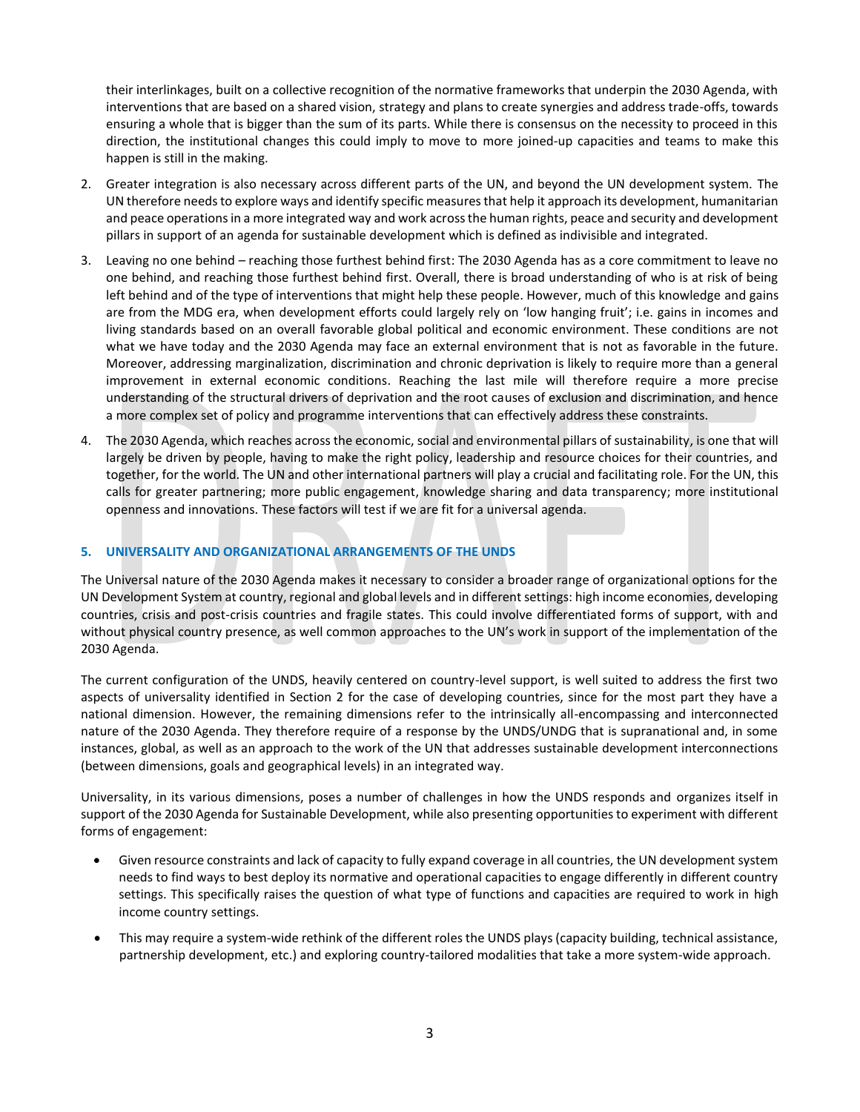their interlinkages, built on a collective recognition of the normative frameworks that underpin the 2030 Agenda, with interventions that are based on a shared vision, strategy and plans to create synergies and address trade-offs, towards ensuring a whole that is bigger than the sum of its parts. While there is consensus on the necessity to proceed in this direction, the institutional changes this could imply to move to more joined-up capacities and teams to make this happen is still in the making.

- 2. Greater integration is also necessary across different parts of the UN, and beyond the UN development system. The UN therefore needsto explore ways and identify specific measures that help it approach its development, humanitarian and peace operations in a more integrated way and work across the human rights, peace and security and development pillars in support of an agenda for sustainable development which is defined as indivisible and integrated.
- 3. Leaving no one behind reaching those furthest behind first: The 2030 Agenda has as a core commitment to leave no one behind, and reaching those furthest behind first. Overall, there is broad understanding of who is at risk of being left behind and of the type of interventions that might help these people. However, much of this knowledge and gains are from the MDG era, when development efforts could largely rely on 'low hanging fruit'; i.e. gains in incomes and living standards based on an overall favorable global political and economic environment. These conditions are not what we have today and the 2030 Agenda may face an external environment that is not as favorable in the future. Moreover, addressing marginalization, discrimination and chronic deprivation is likely to require more than a general improvement in external economic conditions. Reaching the last mile will therefore require a more precise understanding of the structural drivers of deprivation and the root causes of exclusion and discrimination, and hence a more complex set of policy and programme interventions that can effectively address these constraints.
- 4. The 2030 Agenda, which reaches across the economic, social and environmental pillars of sustainability, is one that will largely be driven by people, having to make the right policy, leadership and resource choices for their countries, and together, for the world. The UN and other international partners will play a crucial and facilitating role. For the UN, this calls for greater partnering; more public engagement, knowledge sharing and data transparency; more institutional openness and innovations. These factors will test if we are fit for a universal agenda.

### **5. UNIVERSALITY AND ORGANIZATIONAL ARRANGEMENTS OF THE UNDS**

The Universal nature of the 2030 Agenda makes it necessary to consider a broader range of organizational options for the UN Development System at country, regional and global levels and in different settings: high income economies, developing countries, crisis and post-crisis countries and fragile states. This could involve differentiated forms of support, with and without physical country presence, as well common approaches to the UN's work in support of the implementation of the 2030 Agenda.

The current configuration of the UNDS, heavily centered on country-level support, is well suited to address the first two aspects of universality identified in Section 2 for the case of developing countries, since for the most part they have a national dimension. However, the remaining dimensions refer to the intrinsically all-encompassing and interconnected nature of the 2030 Agenda. They therefore require of a response by the UNDS/UNDG that is supranational and, in some instances, global, as well as an approach to the work of the UN that addresses sustainable development interconnections (between dimensions, goals and geographical levels) in an integrated way.

Universality, in its various dimensions, poses a number of challenges in how the UNDS responds and organizes itself in support of the 2030 Agenda for Sustainable Development, while also presenting opportunities to experiment with different forms of engagement:

- Given resource constraints and lack of capacity to fully expand coverage in all countries, the UN development system needs to find ways to best deploy its normative and operational capacities to engage differently in different country settings. This specifically raises the question of what type of functions and capacities are required to work in high income country settings.
- This may require a system-wide rethink of the different roles the UNDS plays (capacity building, technical assistance, partnership development, etc.) and exploring country-tailored modalities that take a more system-wide approach.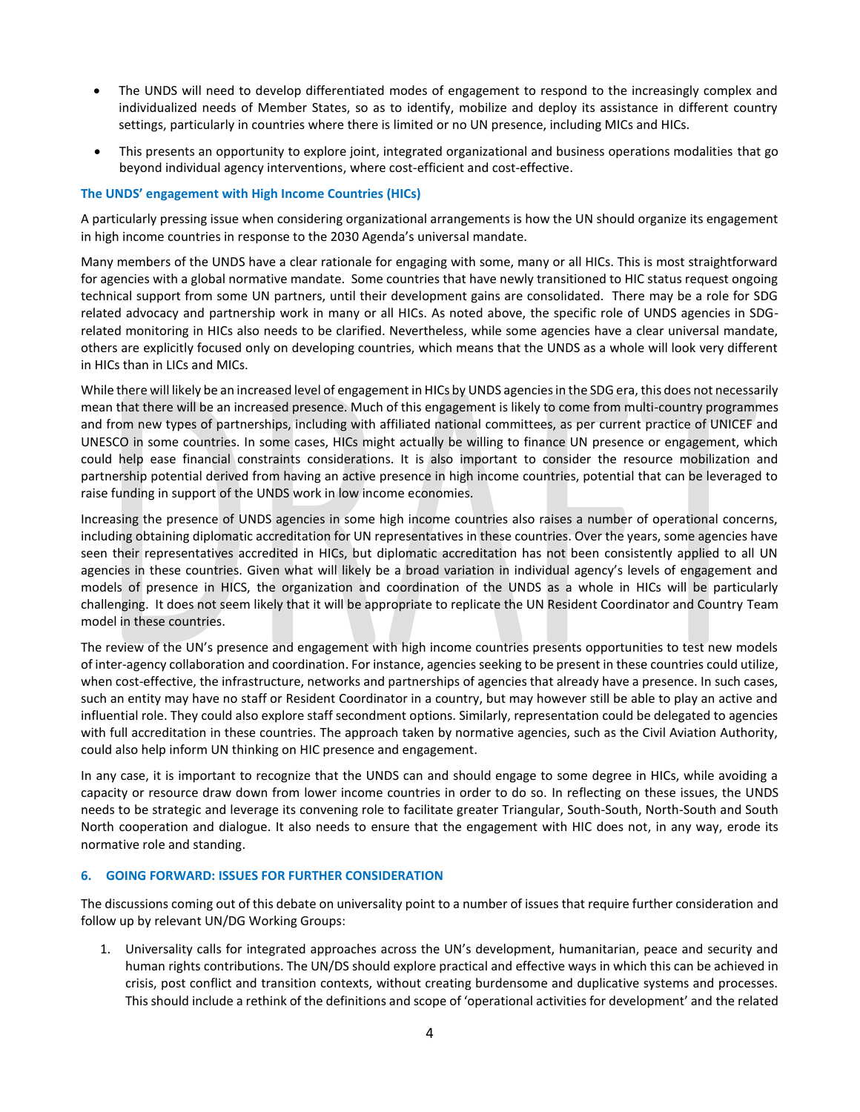- The UNDS will need to develop differentiated modes of engagement to respond to the increasingly complex and individualized needs of Member States, so as to identify, mobilize and deploy its assistance in different country settings, particularly in countries where there is limited or no UN presence, including MICs and HICs.
- This presents an opportunity to explore joint, integrated organizational and business operations modalities that go beyond individual agency interventions, where cost-efficient and cost-effective.

#### **The UNDS' engagement with High Income Countries (HICs)**

A particularly pressing issue when considering organizational arrangements is how the UN should organize its engagement in high income countries in response to the 2030 Agenda's universal mandate.

Many members of the UNDS have a clear rationale for engaging with some, many or all HICs. This is most straightforward for agencies with a global normative mandate. Some countries that have newly transitioned to HIC status request ongoing technical support from some UN partners, until their development gains are consolidated. There may be a role for SDG related advocacy and partnership work in many or all HICs. As noted above, the specific role of UNDS agencies in SDGrelated monitoring in HICs also needs to be clarified. Nevertheless, while some agencies have a clear universal mandate, others are explicitly focused only on developing countries, which means that the UNDS as a whole will look very different in HICs than in LICs and MICs.

While there will likely be an increased level of engagement in HICs by UNDS agencies in the SDG era, this does not necessarily mean that there will be an increased presence. Much of this engagement is likely to come from multi-country programmes and from new types of partnerships, including with affiliated national committees, as per current practice of UNICEF and UNESCO in some countries. In some cases, HICs might actually be willing to finance UN presence or engagement, which could help ease financial constraints considerations. It is also important to consider the resource mobilization and partnership potential derived from having an active presence in high income countries, potential that can be leveraged to raise funding in support of the UNDS work in low income economies.

Increasing the presence of UNDS agencies in some high income countries also raises a number of operational concerns, including obtaining diplomatic accreditation for UN representatives in these countries. Over the years, some agencies have seen their representatives accredited in HICs, but diplomatic accreditation has not been consistently applied to all UN agencies in these countries. Given what will likely be a broad variation in individual agency's levels of engagement and models of presence in HICS, the organization and coordination of the UNDS as a whole in HICs will be particularly challenging. It does not seem likely that it will be appropriate to replicate the UN Resident Coordinator and Country Team model in these countries.

The review of the UN's presence and engagement with high income countries presents opportunities to test new models of inter-agency collaboration and coordination. For instance, agencies seeking to be present in these countries could utilize, when cost-effective, the infrastructure, networks and partnerships of agencies that already have a presence. In such cases, such an entity may have no staff or Resident Coordinator in a country, but may however still be able to play an active and influential role. They could also explore staff secondment options. Similarly, representation could be delegated to agencies with full accreditation in these countries. The approach taken by normative agencies, such as the Civil Aviation Authority, could also help inform UN thinking on HIC presence and engagement.

In any case, it is important to recognize that the UNDS can and should engage to some degree in HICs, while avoiding a capacity or resource draw down from lower income countries in order to do so. In reflecting on these issues, the UNDS needs to be strategic and leverage its convening role to facilitate greater Triangular, South-South, North-South and South North cooperation and dialogue. It also needs to ensure that the engagement with HIC does not, in any way, erode its normative role and standing.

#### **6. GOING FORWARD: ISSUES FOR FURTHER CONSIDERATION**

The discussions coming out of this debate on universality point to a number of issues that require further consideration and follow up by relevant UN/DG Working Groups:

1. Universality calls for integrated approaches across the UN's development, humanitarian, peace and security and human rights contributions. The UN/DS should explore practical and effective ways in which this can be achieved in crisis, post conflict and transition contexts, without creating burdensome and duplicative systems and processes. This should include a rethink of the definitions and scope of 'operational activities for development' and the related